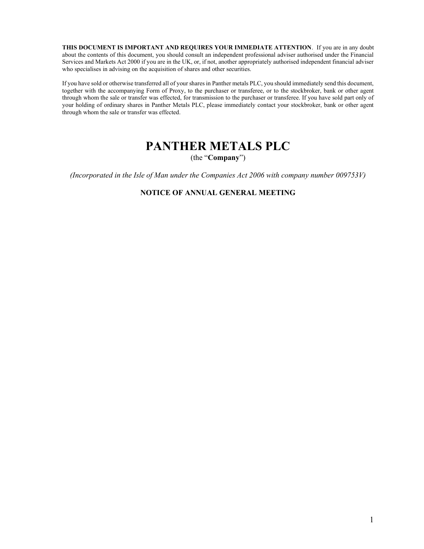THIS DOCUMENT IS IMPORTANT AND REQUIRES YOUR IMMEDIATE ATTENTION. If you are in any doubt about the contents of this document, you should consult an independent professional adviser authorised under the Financial Services and Markets Act 2000 if you are in the UK, or, if not, another appropriately authorised independent financial adviser who specialises in advising on the acquisition of shares and other securities.

If you have sold or otherwise transferred all of your shares in Panther metals PLC, you should immediately send this document, together with the accompanying Form of Proxy, to the purchaser or transferee, or to the stockbroker, bank or other agent through whom the sale or transfer was effected, for transmission to the purchaser or transferee. If you have sold part only of your holding of ordinary shares in Panther Metals PLC, please immediately contact your stockbroker, bank or other agent through whom the sale or transfer was effected.

# PANTHER METALS PLC

(the "Company")

(Incorporated in the Isle of Man under the Companies Act 2006 with company number 009753V)

### NOTICE OF ANNUAL GENERAL MEETING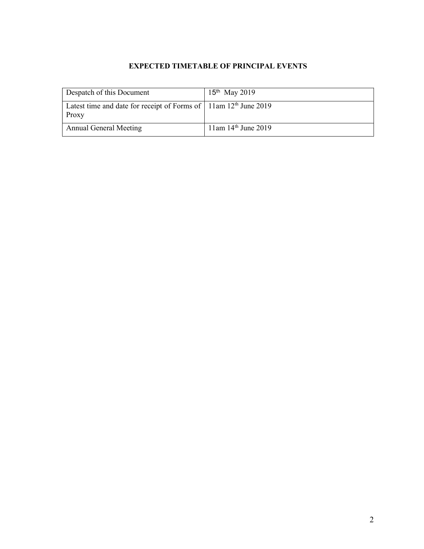# EXPECTED TIMETABLE OF PRINCIPAL EVENTS

| Despatch of this Document                                                                     | $15^{th}$ May 2019       |
|-----------------------------------------------------------------------------------------------|--------------------------|
| Latest time and date for receipt of Forms of $\vert$ 11am 12 <sup>th</sup> June 2019<br>Proxy |                          |
| <b>Annual General Meeting</b>                                                                 | $11$ am $14th$ June 2019 |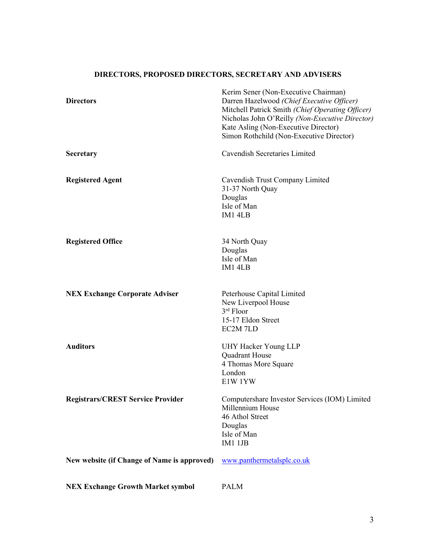# DIRECTORS, PROPOSED DIRECTORS, SECRETARY AND ADVISERS

| <b>Directors</b>                            | Kerim Sener (Non-Executive Chairman)<br>Darren Hazelwood (Chief Executive Officer)<br>Mitchell Patrick Smith (Chief Operating Officer)<br>Nicholas John O'Reilly (Non-Executive Director)<br>Kate Asling (Non-Executive Director)<br>Simon Rothchild (Non-Executive Director) |
|---------------------------------------------|-------------------------------------------------------------------------------------------------------------------------------------------------------------------------------------------------------------------------------------------------------------------------------|
| Secretary                                   | Cavendish Secretaries Limited                                                                                                                                                                                                                                                 |
| <b>Registered Agent</b>                     | Cavendish Trust Company Limited<br>31-37 North Quay<br>Douglas<br>Isle of Man<br>IM1 4LB                                                                                                                                                                                      |
| <b>Registered Office</b>                    | 34 North Quay<br>Douglas<br>Isle of Man<br>IM1 4LB                                                                                                                                                                                                                            |
| <b>NEX Exchange Corporate Adviser</b>       | Peterhouse Capital Limited<br>New Liverpool House<br>$3rd$ Floor<br>15-17 Eldon Street<br>EC2M 7LD                                                                                                                                                                            |
| <b>Auditors</b>                             | UHY Hacker Young LLP<br>Quadrant House<br>4 Thomas More Square<br>London<br>E1W 1YW                                                                                                                                                                                           |
| <b>Registrars/CREST Service Provider</b>    | Computershare Investor Services (IOM) Limited<br>Millennium House<br>46 Athol Street<br>Douglas<br>Isle of Man<br>IM1 1JB                                                                                                                                                     |
| New website (if Change of Name is approved) | www.panthermetalsplc.co.uk                                                                                                                                                                                                                                                    |
| <b>NEX Exchange Growth Market symbol</b>    | <b>PALM</b>                                                                                                                                                                                                                                                                   |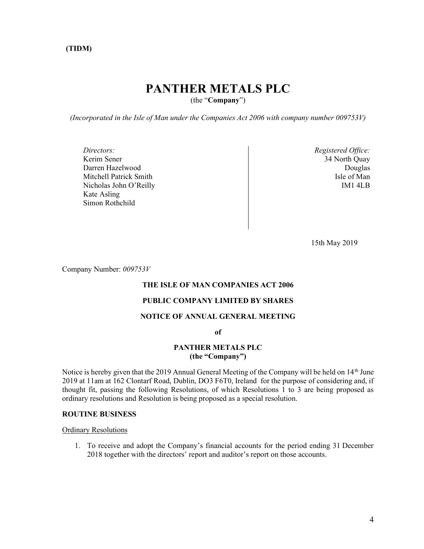# (TIDM)

# PANTHER METALS PLC

(the "Company")

(Incorporated in the Isle of Man under the Companies Act 2006 with company number 009753V)

Directors: Kerim Sener Darren Hazelwood Mitchell Patrick Smith Nicholas John O'Reilly Kate Asling Simon Rothchild

Registered Office: 34 North Quay Douglas Isle of Man IM1 4LB

15th May 2019

Company Number: 009753V

#### THE ISLE OF MAN COMPANIES ACT 2006

#### PUBLIC COMPANY LIMITED BY SHARES

## NOTICE OF ANNUAL GENERAL MEETING

of

#### PANTHER METALS PLC (the "Company")

Notice is hereby given that the 2019 Annual General Meeting of the Company will be held on 14<sup>th</sup> June 2019 at 11am at 162 Clontarf Road, Dublin, DO3 F6T0, Ireland for the purpose of considering and, if thought fit, passing the following Resolutions, of which Resolutions 1 to 3 are being proposed as ordinary resolutions and Resolution is being proposed as a special resolution.

#### ROUTINE BUSINESS

Ordinary Resolutions

1. To receive and adopt the Company's financial accounts for the period ending 31 December 2018 together with the directors' report and auditor's report on those accounts.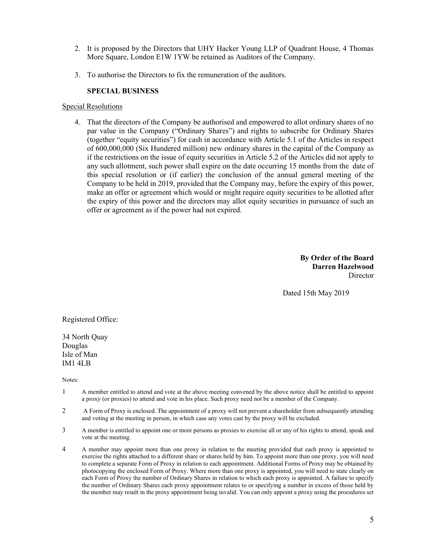- 2. It is proposed by the Directors that UHY Hacker Young LLP of Quadrant House, 4 Thomas More Square, London E1W 1YW be retained as Auditors of the Company.
- 3. To authorise the Directors to fix the remuneration of the auditors.

## SPECIAL BUSINESS

#### Special Resolutions

4. That the directors of the Company be authorised and empowered to allot ordinary shares of no par value in the Company ("Ordinary Shares") and rights to subscribe for Ordinary Shares (together "equity securities") for cash in accordance with Article 5.1 of the Articles in respect of 600,000,000 (Six Hundered million) new ordinary shares in the capital of the Company as if the restrictions on the issue of equity securities in Article 5.2 of the Articles did not apply to any such allotment, such power shall expire on the date occurring 15 months from the date of this special resolution or (if earlier) the conclusion of the annual general meeting of the Company to be held in 2019, provided that the Company may, before the expiry of this power, make an offer or agreement which would or might require equity securities to be allotted after the expiry of this power and the directors may allot equity securities in pursuance of such an offer or agreement as if the power had not expired.

> By Order of the Board Darren Hazelwood Director

Dated 15th May 2019

Registered Office:

34 North Quay Douglas Isle of Man IM1 4LB

Notes:

- 1 A member entitled to attend and vote at the above meeting convened by the above notice shall be entitled to appoint a proxy (or proxies) to attend and vote in his place. Such proxy need not be a member of the Company.
- 2 A Form of Proxy is enclosed. The appointment of a proxy will not prevent a shareholder from subsequently attending and voting at the meeting in person, in which case any votes cast by the proxy will be excluded.
- 3 A member is entitled to appoint one or more persons as proxies to exercise all or any of his rights to attend, speak and vote at the meeting.
- 4 A member may appoint more than one proxy in relation to the meeting provided that each proxy is appointed to exercise the rights attached to a different share or shares held by him. To appoint more than one proxy, you will need to complete a separate Form of Proxy in relation to each appointment. Additional Forms of Proxy may be obtained by photocopying the enclosed Form of Proxy. Where more than one proxy is appointed, you will need to state clearly on each Form of Proxy the number of Ordinary Shares in relation to which each proxy is appointed. A failure to specify the number of Ordinary Shares each proxy appointment relates to or specifying a number in excess of those held by the member may result in the proxy appointment being invalid. You can only appoint a proxy using the procedures set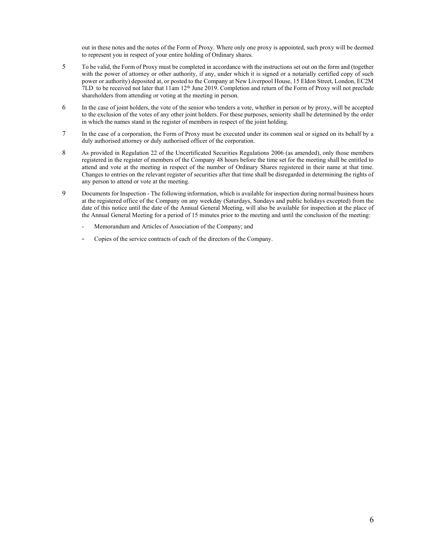out in these notes and the notes of the Form of Proxy. Where only one proxy is appointed, such proxy will be deemed to represent you in respect of your entire holding of Ordinary shares.

- 5 To be valid, the Form of Proxy must be completed in accordance with the instructions set out on the form and (together with the power of attorney or other authority, if any, under which it is signed or a notarially certified copy of such power or authority) deposited at, or posted to the Company at New Liverpool House, 15 Eldon Street, London, EC2M  $7LD$  to be received not later that  $11$ am  $12<sup>th</sup>$  June 2019. Completion and return of the Form of Proxy will not preclude shareholders from attending or voting at the meeting in person.
- 6 In the case of joint holders, the vote of the senior who tenders a vote, whether in person or by proxy, will be accepted to the exclusion of the votes of any other joint holders. For these purposes, seniority shall be determined by the order in which the names stand in the register of members in respect of the joint holding.
- 7 In the case of a corporation, the Form of Proxy must be executed under its common seal or signed on its behalf by a duly authorised attorney or duly authorised officer of the corporation.
- 8 As provided in Regulation 22 of the Uncertificated Securities Regulations 2006 (as amended), only those members registered in the register of members of the Company 48 hours before the time set for the meeting shall be entitled to attend and vote at the meeting in respect of the number of Ordinary Shares registered in their name at that time. Changes to entries on the relevant register of securities after that time shall be disregarded in determining the rights of any person to attend or vote at the meeting.
- 9 Documents for Inspection The following information, which is available for inspection during normal business hours at the registered office of the Company on any weekday (Saturdays, Sundays and public holidays excepted) from the date of this notice until the date of the Annual General Meeting, will also be available for inspection at the place of the Annual General Meeting for a period of 15 minutes prior to the meeting and until the conclusion of the meeting:
	- Memorandum and Articles of Association of the Company; and
	- Copies of the service contracts of each of the directors of the Company.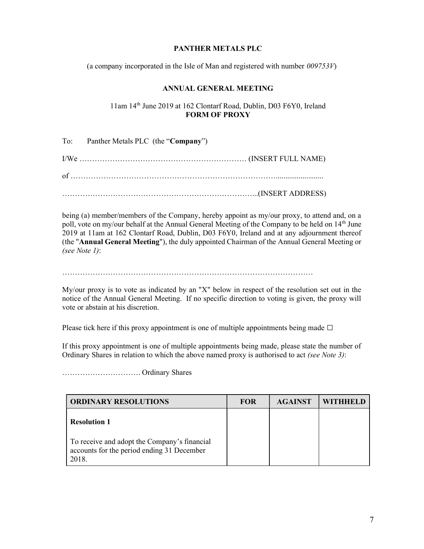# PANTHER METALS PLC

(a company incorporated in the Isle of Man and registered with number  $009753V$ )

# ANNUAL GENERAL MEETING

# 11am 14th June 2019 at 162 Clontarf Road, Dublin, D03 F6Y0, Ireland FORM OF PROXY

| To: Panther Metals PLC (the "Company") |
|----------------------------------------|
|                                        |
|                                        |
|                                        |

being (a) member/members of the Company, hereby appoint as my/our proxy, to attend and, on a poll, vote on my/our behalf at the Annual General Meeting of the Company to be held on 14<sup>th</sup> June 2019 at 11am at 162 Clontarf Road, Dublin, D03 F6Y0, Ireland and at any adjournment thereof (the "Annual General Meeting"), the duly appointed Chairman of the Annual General Meeting or (see Note 1):

………………………………………………………………………………………

My/our proxy is to vote as indicated by an "X" below in respect of the resolution set out in the notice of the Annual General Meeting. If no specific direction to voting is given, the proxy will vote or abstain at his discretion.

Please tick here if this proxy appointment is one of multiple appointments being made  $\Box$ 

If this proxy appointment is one of multiple appointments being made, please state the number of Ordinary Shares in relation to which the above named proxy is authorised to act *(see Note 3)*:

| <b>ORDINARY RESOLUTIONS</b>                                                                                       | <b>FOR</b> | <b>AGAINST</b> | WITHHELD |
|-------------------------------------------------------------------------------------------------------------------|------------|----------------|----------|
| <b>Resolution 1</b><br>To receive and adopt the Company's financial<br>accounts for the period ending 31 December |            |                |          |
| 2018.                                                                                                             |            |                |          |

…………………………. Ordinary Shares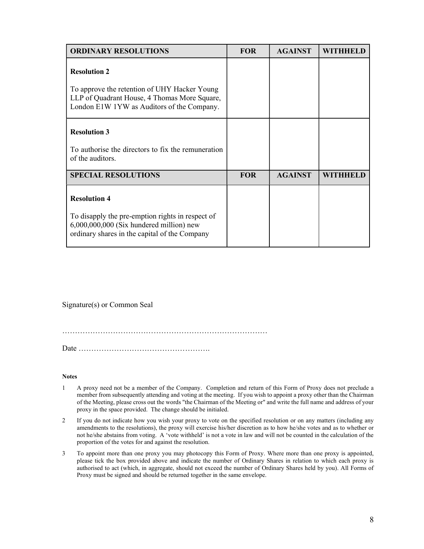| <b>ORDINARY RESOLUTIONS</b>                                                                                                                                          | <b>FOR</b> | <b>AGAINST</b> |          |
|----------------------------------------------------------------------------------------------------------------------------------------------------------------------|------------|----------------|----------|
| <b>Resolution 2</b><br>To approve the retention of UHY Hacker Young<br>LLP of Quadrant House, 4 Thomas More Square,<br>London E1W 1YW as Auditors of the Company.    |            |                |          |
| <b>Resolution 3</b><br>To authorise the directors to fix the remuneration<br>of the auditors.                                                                        |            |                |          |
| <b>SPECIAL RESOLUTIONS</b>                                                                                                                                           | <b>FOR</b> | <b>AGAINST</b> | WITHHELD |
| <b>Resolution 4</b><br>To disapply the pre-emption rights in respect of<br>6,000,000,000 (Six hundered million) new<br>ordinary shares in the capital of the Company |            |                |          |

Signature(s) or Common Seal

………………………………………………………………………

Date …………………………………………….

#### **Notes**

- 1 A proxy need not be a member of the Company. Completion and return of this Form of Proxy does not preclude a member from subsequently attending and voting at the meeting. If you wish to appoint a proxy other than the Chairman of the Meeting, please cross out the words "the Chairman of the Meeting or" and write the full name and address of your proxy in the space provided. The change should be initialed.
- 2 If you do not indicate how you wish your proxy to vote on the specified resolution or on any matters (including any amendments to the resolutions), the proxy will exercise his/her discretion as to how he/she votes and as to whether or not he/she abstains from voting. A 'vote withheld' is not a vote in law and will not be counted in the calculation of the proportion of the votes for and against the resolution.
- 3 To appoint more than one proxy you may photocopy this Form of Proxy. Where more than one proxy is appointed, please tick the box provided above and indicate the number of Ordinary Shares in relation to which each proxy is authorised to act (which, in aggregate, should not exceed the number of Ordinary Shares held by you). All Forms of Proxy must be signed and should be returned together in the same envelope.